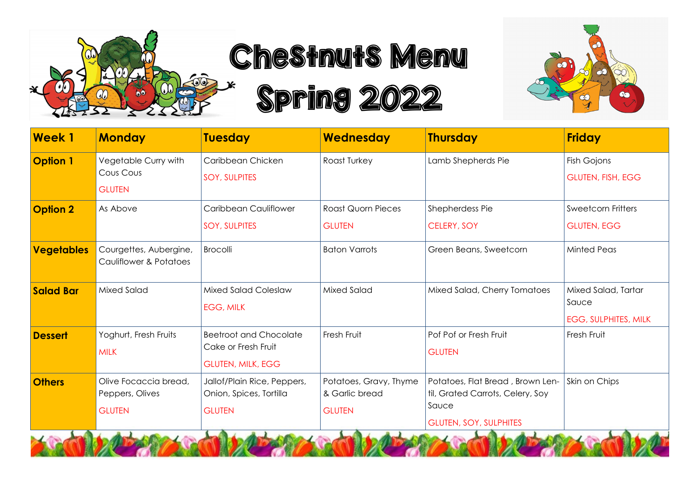

Chestnuts Menu

Spring 2022



| <b>Week1</b>      | <b>Monday</b>                                             | <b>Tuesday</b>                                                                   | Wednesday                                                 | <b>Thursday</b>                                                                                                | <b>Friday</b>                                               |
|-------------------|-----------------------------------------------------------|----------------------------------------------------------------------------------|-----------------------------------------------------------|----------------------------------------------------------------------------------------------------------------|-------------------------------------------------------------|
| <b>Option 1</b>   | Vegetable Curry with<br>Cous Cous<br><b>GLUTEN</b>        | Caribbean Chicken<br><b>SOY, SULPITES</b>                                        | Roast Turkey                                              | Lamb Shepherds Pie                                                                                             | Fish Gojons<br><b>GLUTEN, FISH, EGG</b>                     |
| <b>Option 2</b>   | As Above                                                  | Caribbean Cauliflower<br><b>SOY, SULPITES</b>                                    | <b>Roast Quorn Pieces</b><br><b>GLUTEN</b>                | Shepherdess Pie<br><b>CELERY, SOY</b>                                                                          | <b>Sweetcorn Fritters</b><br><b>GLUTEN, EGG</b>             |
| <b>Vegetables</b> | Courgettes, Aubergine,<br>Cauliflower & Potatoes          | Brocolli                                                                         | <b>Baton Varrots</b>                                      | Green Beans, Sweetcorn                                                                                         | <b>Minted Peas</b>                                          |
| <b>Salad Bar</b>  | Mixed Salad                                               | <b>Mixed Salad Coleslaw</b><br><b>EGG, MILK</b>                                  | <b>Mixed Salad</b>                                        | Mixed Salad, Cherry Tomatoes                                                                                   | Mixed Salad, Tartar<br>Sauce<br><b>EGG, SULPHITES, MILK</b> |
| <b>Dessert</b>    | Yoghurt, Fresh Fruits<br><b>MILK</b>                      | <b>Beetroot and Chocolate</b><br>Cake or Fresh Fruit<br><b>GLUTEN, MILK, EGG</b> | Fresh Fruit                                               | Pof Pof or Fresh Fruit<br><b>GLUTEN</b>                                                                        | Fresh Fruit                                                 |
| <b>Others</b>     | Olive Focaccia bread,<br>Peppers, Olives<br><b>GLUTEN</b> | Jallof/Plain Rice, Peppers,<br>Onion, Spices, Tortilla<br><b>GLUTEN</b>          | Potatoes, Gravy, Thyme<br>& Garlic bread<br><b>GLUTEN</b> | Potatoes, Flat Bread, Brown Len-<br>til, Grated Carrots, Celery, Soy<br>Sauce<br><b>GLUTEN, SOY, SULPHITES</b> | Skin on Chips                                               |

**DOUGLATER**